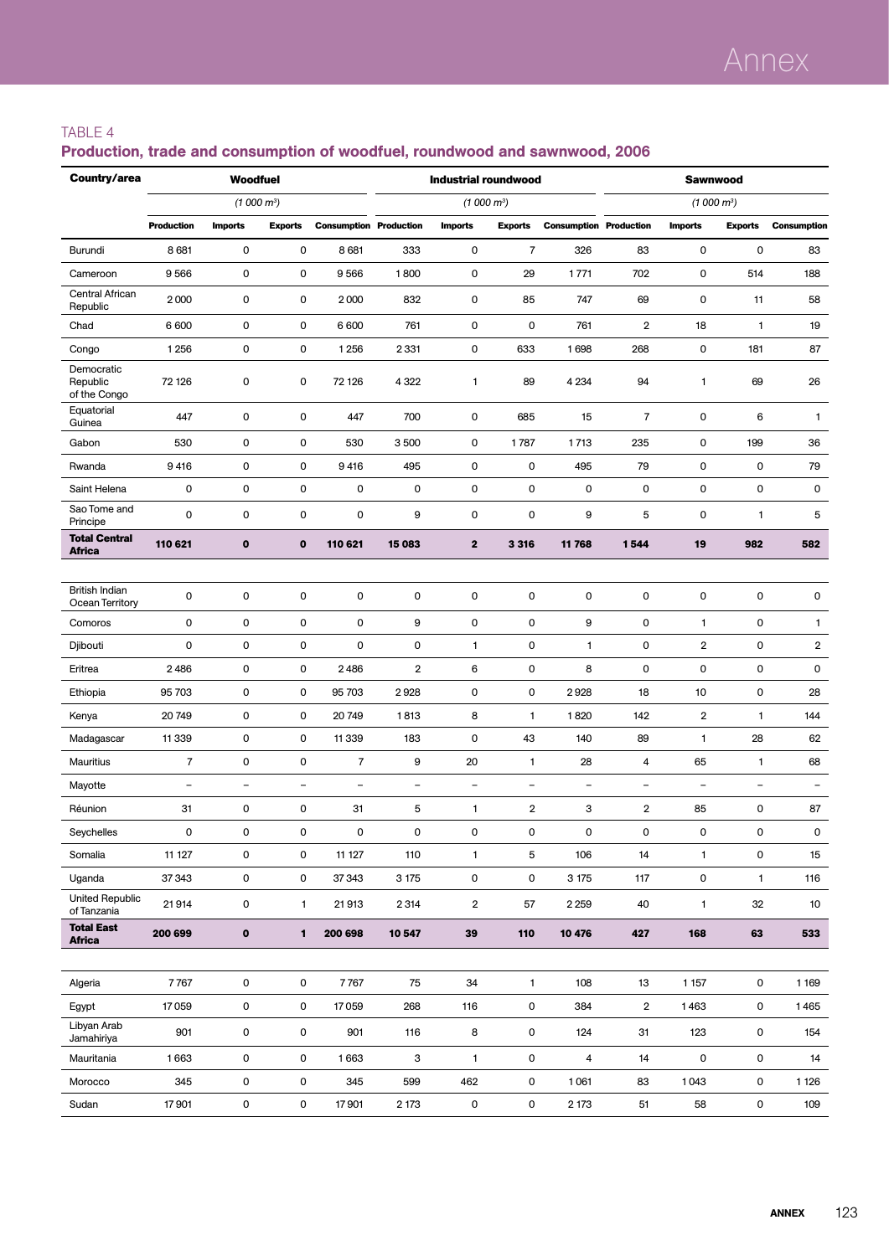### TABLE 4

| Country/area                           |                          | Woodfuel                 |                          |                               |                          | <b>Industrial roundwood</b> |                         |                               | <b>Sawnwood</b>          |                          |                          |                          |  |
|----------------------------------------|--------------------------|--------------------------|--------------------------|-------------------------------|--------------------------|-----------------------------|-------------------------|-------------------------------|--------------------------|--------------------------|--------------------------|--------------------------|--|
|                                        |                          | (1000 m <sup>3</sup> )   |                          |                               |                          | (1000 m <sup>3</sup> )      |                         |                               |                          | (1000 m <sup>3</sup> )   |                          |                          |  |
|                                        | <b>Production</b>        | <b>Imports</b>           | <b>Exports</b>           | <b>Consumption Production</b> |                          | <b>Imports</b>              | <b>Exports</b>          | <b>Consumption Production</b> |                          | <b>Imports</b>           | <b>Exports</b>           | <b>Consumption</b>       |  |
| Burundi                                | 8 6 8 1                  | 0                        | 0                        | 8681                          | 333                      | 0                           | 7                       | 326                           | 83                       | 0                        | 0                        | 83                       |  |
| Cameroon                               | 9566                     | 0                        | $\mathsf 0$              | 9566                          | 1800                     | $\mathsf 0$                 | 29                      | 1771                          | 702                      | 0                        | 514                      | 188                      |  |
| Central African<br>Republic            | 2000                     | 0                        | 0                        | 2000                          | 832                      | 0                           | 85                      | 747                           | 69                       | 0                        | 11                       | 58                       |  |
| Chad                                   | 6 600                    | 0                        | 0                        | 6 600                         | 761                      | 0                           | $\mathbf 0$             | 761                           | 2                        | 18                       | $\overline{1}$           | 19                       |  |
| Congo                                  | 1 2 5 6                  | 0                        | $\mathsf 0$              | 1256                          | 2331                     | 0                           | 633                     | 1698                          | 268                      | 0                        | 181                      | 87                       |  |
| Democratic<br>Republic<br>of the Congo | 72 126                   | 0                        | 0                        | 72 126                        | 4 3 2 2                  | 1                           | 89                      | 4 2 3 4                       | 94                       | 1                        | 69                       | 26                       |  |
| Equatorial<br>Guinea                   | 447                      | 0                        | 0                        | 447                           | 700                      | 0                           | 685                     | 15                            | $\overline{7}$           | 0                        | 6                        | $\mathbf{1}$             |  |
| Gabon                                  | 530                      | 0                        | 0                        | 530                           | 3500                     | 0                           | 1787                    | 1713                          | 235                      | 0                        | 199                      | 36                       |  |
| Rwanda                                 | 9416                     | 0                        | $\mathbf 0$              | 9416                          | 495                      | 0                           | $\mathsf{O}\xspace$     | 495                           | 79                       | 0                        | 0                        | 79                       |  |
| Saint Helena                           | 0                        | 0                        | $\mathbf 0$              | 0                             | 0                        | $\mathsf 0$                 | $\mathbf 0$             | 0                             | 0                        | 0                        | 0                        | 0                        |  |
| Sao Tome and<br>Principe               | $\mathbf 0$              | $\mathsf{O}\xspace$      | $\mathsf 0$              | 0                             | 9                        | 0                           | $\pmb{0}$               | 9                             | 5                        | 0                        | 1                        | 5                        |  |
| <b>Total Central</b><br><b>Africa</b>  | 110 621                  | $\mathbf{o}$             | $\mathbf{o}$             | 110 621                       | 15 083                   | $\overline{2}$              | 3 3 1 6                 | 11 768                        | 1544                     | 19                       | 982                      | 582                      |  |
|                                        |                          |                          |                          |                               |                          |                             |                         |                               |                          |                          |                          |                          |  |
| British Indian<br>Ocean Territory      | $\mathbf 0$              | $\mathsf{O}\xspace$      | $\mathbf 0$              | $\pmb{0}$                     | $\mathsf 0$              | $\pmb{0}$                   | $\mathbf 0$             | 0                             | $\mathsf 0$              | 0                        | $\mathsf 0$              | 0                        |  |
| Comoros                                | 0                        | 0                        | $\mathsf 0$              | 0                             | 9                        | $\mathsf 0$                 | $\pmb{0}$               | 9                             | 0                        | $\mathbf{1}$             | 0                        | $\mathbf{1}$             |  |
| Djibouti                               | 0                        | 0                        | $\mathbf 0$              | 0                             | 0                        | 1                           | $\mathbf 0$             | 1                             | 0                        | $\overline{2}$           | 0                        | $\overline{2}$           |  |
| Eritrea                                | 2486                     | 0                        | $\mathbf 0$              | 2486                          | $\overline{\mathbf{2}}$  | 6                           | $\pmb{0}$               | 8                             | 0                        | 0                        | 0                        | 0                        |  |
| Ethiopia                               | 95 703                   | 0                        | $\mathbf 0$              | 95 703                        | 2928                     | 0                           | $\pmb{0}$               | 2928                          | 18                       | 10                       | 0                        | 28                       |  |
| Kenya                                  | 20749                    | 0                        | 0                        | 20 749                        | 1813                     | 8                           | $\mathbf{1}$            | 1820                          | 142                      | $\overline{2}$           | $\mathbf{1}$             | 144                      |  |
| Madagascar                             | 11 3 3 9                 | 0                        | $\mathsf 0$              | 11 339                        | 183                      | 0                           | 43                      | 140                           | 89                       | $\mathbf{1}$             | 28                       | 62                       |  |
| Mauritius                              | $\overline{7}$           | 0                        | $\mathbf 0$              | $\overline{7}$                | 9                        | 20                          | $\mathbf{1}$            | 28                            | 4                        | 65                       | $\mathbf{1}$             | 68                       |  |
| Mayotte                                | $\overline{\phantom{a}}$ | $\overline{\phantom{0}}$ | $\overline{\phantom{0}}$ | $\overline{\phantom{0}}$      | $\overline{\phantom{a}}$ | $\overline{\phantom{0}}$    | L,                      | $\overline{a}$                | $\overline{\phantom{0}}$ | $\overline{\phantom{0}}$ | $\overline{\phantom{a}}$ | $\overline{\phantom{0}}$ |  |
| Réunion                                | 31                       | 0                        | $\mathsf 0$              | 31                            | 5                        | 1                           | $\overline{\mathbf{2}}$ | 3                             | $\overline{\mathbf{2}}$  | 85                       | 0                        | 87                       |  |
| Seychelles                             | 0                        | 0                        | 0                        | 0                             | 0                        | 0                           | 0                       | 0                             | 0                        | 0                        | 0                        | 0                        |  |
| Somalia                                | 11 127                   | $\mathsf{O}\xspace$      | 0                        | 11 127                        | 110                      | $\mathbf{1}$                | 5                       | 106                           | 14                       | $\mathbf{1}$             | 0                        | 15                       |  |
| Uganda                                 | 37343                    | $\mathsf{O}\xspace$      | 0                        | 37 34 3                       | 3 1 7 5                  | 0                           | 0                       | 3 175                         | 117                      | 0                        | $\mathbf{1}$             | 116                      |  |
| <b>United Republic</b><br>of Tanzania  | 21914                    | $\mathsf{O}\xspace$      | 1                        | 21913                         | 2314                     | $\overline{2}$              | 57                      | 2 2 5 9                       | 40                       | $\mathbf{1}$             | 32                       | 10 <sup>°</sup>          |  |
| <b>Total East</b><br><b>Africa</b>     | 200 699                  | $\pmb{\mathsf{o}}$       | 1                        | 200 698                       | 10547                    | 39                          | 110                     | 10 476                        | 427                      | 168                      | 63                       | 533                      |  |
|                                        |                          |                          |                          |                               |                          |                             |                         |                               |                          |                          |                          |                          |  |
| Algeria                                | 7767                     | $\mathsf{O}\xspace$      | $\mathsf{O}\xspace$      | 7767                          | 75                       | 34                          | $\mathbf{1}$            | 108                           | 13                       | 1157                     | 0                        | 1 1 6 9                  |  |
| Egypt                                  | 17059                    | $\mathsf{O}\xspace$      | $\mathsf{O}\xspace$      | 17059                         | 268                      | 116                         | 0                       | 384                           | $\overline{\mathbf{2}}$  | 1463                     | 0                        | 1465                     |  |
| Libyan Arab<br>Jamahiriya              | 901                      | 0                        | 0                        | 901                           | 116                      | 8                           | 0                       | 124                           | 31                       | 123                      | 0                        | 154                      |  |
| Mauritania                             | 1663                     | $\mathsf{O}\xspace$      | 0                        | 1663                          | 3                        | $\mathbf{1}$                | 0                       | 4                             | 14                       | 0                        | 0                        | 14                       |  |
| Morocco                                | 345                      | $\mathsf{O}\xspace$      | 0                        | 345                           | 599                      | 462                         | $\mathsf{O}$            | 1061                          | 83                       | 1043                     | 0                        | 1 1 2 6                  |  |
| Sudan                                  | 17901                    | $\mathsf{O}\xspace$      | $\mathsf{O}\xspace$      | 17901                         | 2 173                    | 0                           | $\mathsf 0$             | 2 173                         | 51                       | 58                       | 0                        | 109                      |  |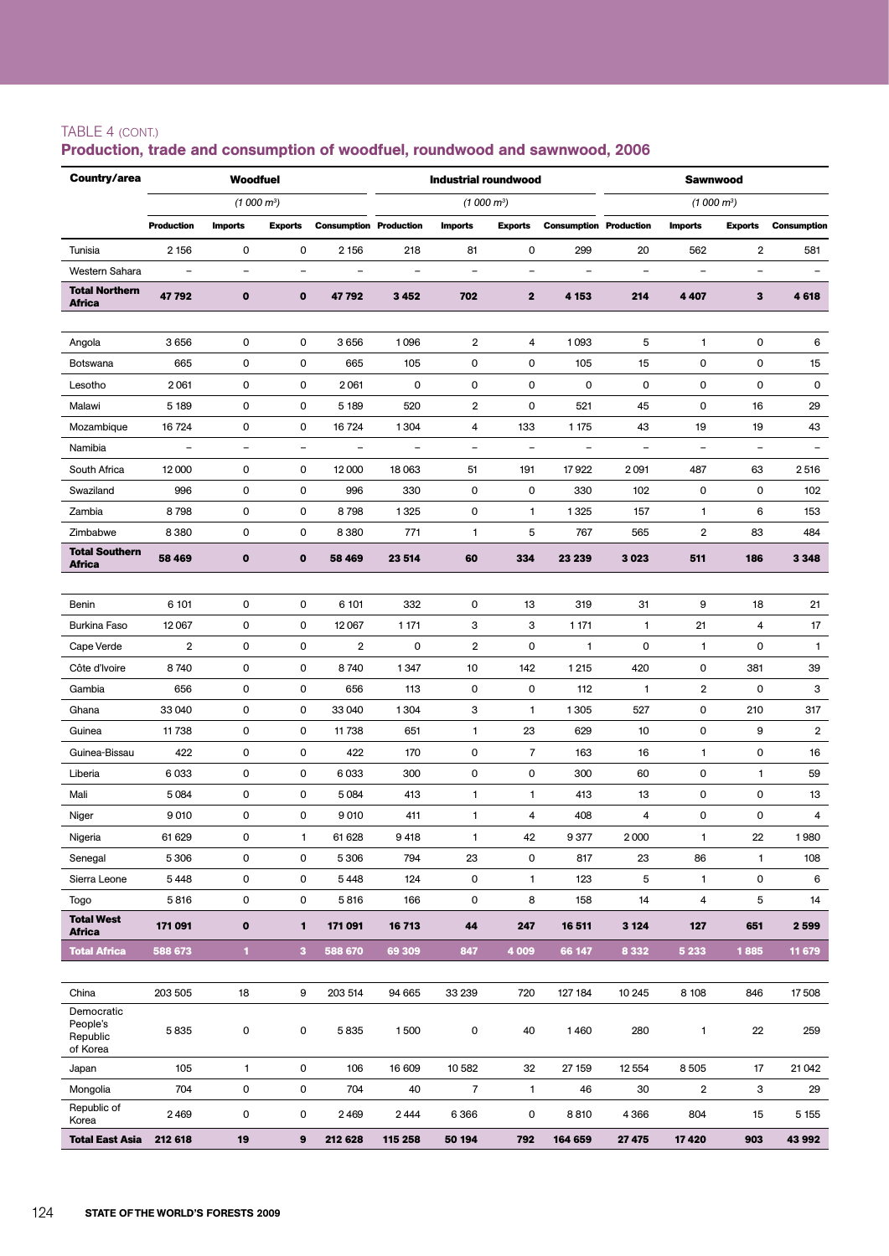## TABLE 4 (cont.)

| Country/area                       |                          | <b>Woodfuel</b>          |                          |                               |                          | <b>Industrial roundwood</b> |                          |                               | <b>Sawnwood</b>   |                         |                          |                          |  |
|------------------------------------|--------------------------|--------------------------|--------------------------|-------------------------------|--------------------------|-----------------------------|--------------------------|-------------------------------|-------------------|-------------------------|--------------------------|--------------------------|--|
|                                    |                          | $(1000 \text{ m}^3)$     |                          |                               |                          |                             | (1000 m <sup>3</sup> )   |                               |                   | $(1000 \, \text{m}^3)$  |                          |                          |  |
|                                    | <b>Production</b>        | <b>Imports</b>           | <b>Exports</b>           | <b>Consumption Production</b> |                          | <b>Imports</b>              | <b>Exports</b>           | <b>Consumption Production</b> |                   | <b>Imports</b>          | <b>Exports</b>           | <b>Consumption</b>       |  |
| Tunisia                            | 2 1 5 6                  | 0                        | 0                        | 2 1 5 6                       | 218                      | 81                          | 0                        | 299                           | 20                | 562                     | $\overline{2}$           | 581                      |  |
| Western Sahara                     | $\qquad \qquad -$        | $\qquad \qquad -$        | $\overline{\phantom{a}}$ | $\overline{\phantom{a}}$      | $\qquad \qquad -$        | $\overline{\phantom{a}}$    | $\overline{\phantom{a}}$ | $\overline{\phantom{m}}$      | $\qquad \qquad -$ | $\qquad \qquad -$       | $\qquad \qquad -$        | $\overline{\phantom{a}}$ |  |
| <b>Total Northern</b><br>Africa    | 47792                    | $\mathbf o$              | $\mathbf 0$              | 47792                         | 3 4 5 2                  | 702                         | $\mathbf 2$              | 4 153                         | 214               | 4 4 0 7                 | 3                        | 4618                     |  |
|                                    |                          |                          |                          |                               |                          |                             |                          |                               |                   |                         |                          |                          |  |
| Angola                             | 3656                     | 0                        | 0                        | 3656                          | 1096                     | 2                           | 4                        | 1093                          | 5                 | 1                       | 0                        | 6                        |  |
| Botswana                           | 665                      | 0                        | 0                        | 665                           | 105                      | 0                           | 0                        | 105                           | 15                | 0                       | 0                        | 15                       |  |
| Lesotho                            | 2061                     | 0                        | 0                        | 2061                          | 0                        | 0                           | 0                        | $\mathbf 0$                   | 0                 | 0                       | 0                        | 0                        |  |
| Malawi                             | 5 1 8 9                  | 0                        | 0                        | 5 1 8 9                       | 520                      | 2                           | 0                        | 521                           | 45                | 0                       | 16                       | 29                       |  |
| Mozambique                         | 16 724                   | 0                        | 0                        | 16 724                        | 1304                     | 4                           | 133                      | 1 1 7 5                       | 43                | 19                      | 19                       | 43                       |  |
| Namibia                            | $\overline{\phantom{a}}$ | $\overline{\phantom{a}}$ | $\overline{\phantom{a}}$ | $\overline{\phantom{a}}$      | $\overline{\phantom{0}}$ | $\qquad \qquad -$           | $\overline{\phantom{a}}$ | $\overline{\phantom{a}}$      | $\qquad \qquad -$ | $\overline{a}$          | $\overline{\phantom{a}}$ | $\overline{\phantom{a}}$ |  |
| South Africa                       | 12000                    | 0                        | 0                        | 12 000                        | 18 063                   | 51                          | 191                      | 17922                         | 2091              | 487                     | 63                       | 2516                     |  |
| Swaziland                          | 996                      | 0                        | $\mathbf 0$              | 996                           | 330                      | 0                           | 0                        | 330                           | 102               | 0                       | 0                        | 102                      |  |
| Zambia                             | 8798                     | 0                        | 0                        | 8798                          | 1325                     | 0                           | 1                        | 1325                          | 157               | 1                       | 6                        | 153                      |  |
| Zimbabwe                           | 8380                     | 0                        | 0                        | 8380                          | 771                      | 1                           | 5                        | 767                           | 565               | $\overline{2}$          | 83                       | 484                      |  |
| <b>Total Southern</b><br>Africa    | 58 469                   | $\mathbf o$              | $\bf o$                  | 58 469                        | 23 514                   | 60                          | 334                      | 23 239                        | 3023              | 511                     | 186                      | 3 3 4 8                  |  |
|                                    |                          |                          |                          |                               |                          |                             |                          |                               |                   |                         |                          |                          |  |
| Benin                              | 6 101                    | 0                        | 0                        | 6 101                         | 332                      | 0                           | 13                       | 319                           | 31                | 9                       | 18                       | 21                       |  |
| Burkina Faso                       | 12067                    | 0                        | 0                        | 12 067                        | 1 1 7 1                  | 3                           | 3                        | 1 1 7 1                       | $\mathbf{1}$      | 21                      | 4                        | 17                       |  |
| Cape Verde                         | $\overline{2}$           | 0                        | 0                        | $\overline{2}$                | 0                        | 2                           | 0                        | 1                             | 0                 | 1                       | 0                        | $\mathbf{1}$             |  |
| Côte d'Ivoire                      | 8740                     | 0                        | 0                        | 8740                          | 1347                     | 10                          | 142                      | 1 2 1 5                       | 420               | 0                       | 381                      | 39                       |  |
| Gambia                             | 656                      | 0                        | 0                        | 656                           | 113                      | 0                           | 0                        | 112                           | 1                 | $\overline{2}$          | 0                        | 3                        |  |
| Ghana                              | 33 040                   | 0                        | 0                        | 33 040                        | 1304                     | 3                           | $\mathbf{1}$             | 1305                          | 527               | 0                       | 210                      | 317                      |  |
| Guinea                             | 11738                    | 0                        | 0                        | 11738                         | 651                      | 1                           | 23                       | 629                           | 10                | 0                       | 9                        | $\overline{2}$           |  |
| Guinea-Bissau                      | 422                      | 0                        | 0                        | 422                           | 170                      | 0                           | $\overline{7}$           | 163                           | 16                | $\mathbf{1}$            | 0                        | 16                       |  |
| Liberia                            | 6033                     | 0                        | 0                        | 6033                          | 300                      | 0                           | 0                        | 300                           | 60                | 0                       | 1                        | 59                       |  |
| Mali                               | 5084                     | 0                        | 0                        | 5084                          | 413                      | $\mathbf{1}$                | 1                        | 413                           | 13                | 0                       | 0                        | 13                       |  |
| Niger                              | 9010                     | 0                        | 0                        | 9010                          | 411                      | 1                           | 4                        | 408                           | 4                 | 0                       | 0                        | 4                        |  |
| Nigeria                            | 61 629                   | 0                        | $\mathbf{1}$             | 61 628                        | 9418                     | $\mathbf{1}$                | 42                       | 9377                          | 2000              | $\mathbf{1}$            | 22                       | 1980                     |  |
| Senegal                            | 5 3 0 6                  | 0                        | $\pmb{0}$                | 5 3 0 6                       | 794                      | 23                          | 0                        | 817                           | 23                | 86                      | $\mathbf{1}$             | 108                      |  |
| Sierra Leone                       | 5448                     | 0                        | 0                        | 5448                          | 124                      | 0                           | $\mathbf{1}$             | 123                           | 5                 | 1                       | 0                        | 6                        |  |
| Togo                               | 5816                     | 0                        | 0                        | 5816                          | 166                      | 0                           | 8                        | 158                           | 14                | 4                       | 5                        | 14                       |  |
| <b>Total West</b><br><b>Africa</b> | 171 091                  | 0                        | $\mathbf{1}$             | 171 091                       | 16713                    | 44                          | 247                      | 16 511                        | 3 1 2 4           | 127                     | 651                      | 2 5 9 9                  |  |
| <b>Total Africa</b>                | 588 673                  | $\blacksquare$           | 3                        | 588 670                       | 69 309                   | 847                         | 4 0 0 9                  | 66 147                        | 8 3 3 2           | 5 2 3 3                 | 1885                     | 11 679                   |  |
| China                              | 203 505                  | 18                       | 9                        | 203 514                       | 94 665                   | 33 239                      | 720                      | 127 184                       | 10 245            | 8 1 0 8                 | 846                      | 17508                    |  |
| Democratic                         |                          |                          |                          |                               |                          |                             |                          |                               |                   |                         |                          |                          |  |
| People's<br>Republic<br>of Korea   | 5835                     | 0                        | 0                        | 5835                          | 1500                     | 0                           | 40                       | 1460                          | 280               | $\mathbf{1}$            | 22                       | 259                      |  |
| Japan                              | 105                      | $\mathbf{1}$             | 0                        | 106                           | 16 609                   | 10 582                      | 32                       | 27 159                        | 12 5 54           | 8505                    | 17                       | 21 04 2                  |  |
| Mongolia                           | 704                      | 0                        | 0                        | 704                           | 40                       | $\overline{7}$              | 1                        | 46                            | 30                | $\overline{\mathbf{2}}$ | 3                        | 29                       |  |
| Republic of<br>Korea               | 2469                     | 0                        | 0                        | 2469                          | 2444                     | 6366                        | 0                        | 8810                          | 4366              | 804                     | 15                       | 5 1 5 5                  |  |
| <b>Total East Asia</b>             | 212 618                  | 19                       | 9                        | 212 628                       | 115 258                  | 50 194                      | 792                      | 164 659                       | 27 475            | 17420                   | 903                      | 43 992                   |  |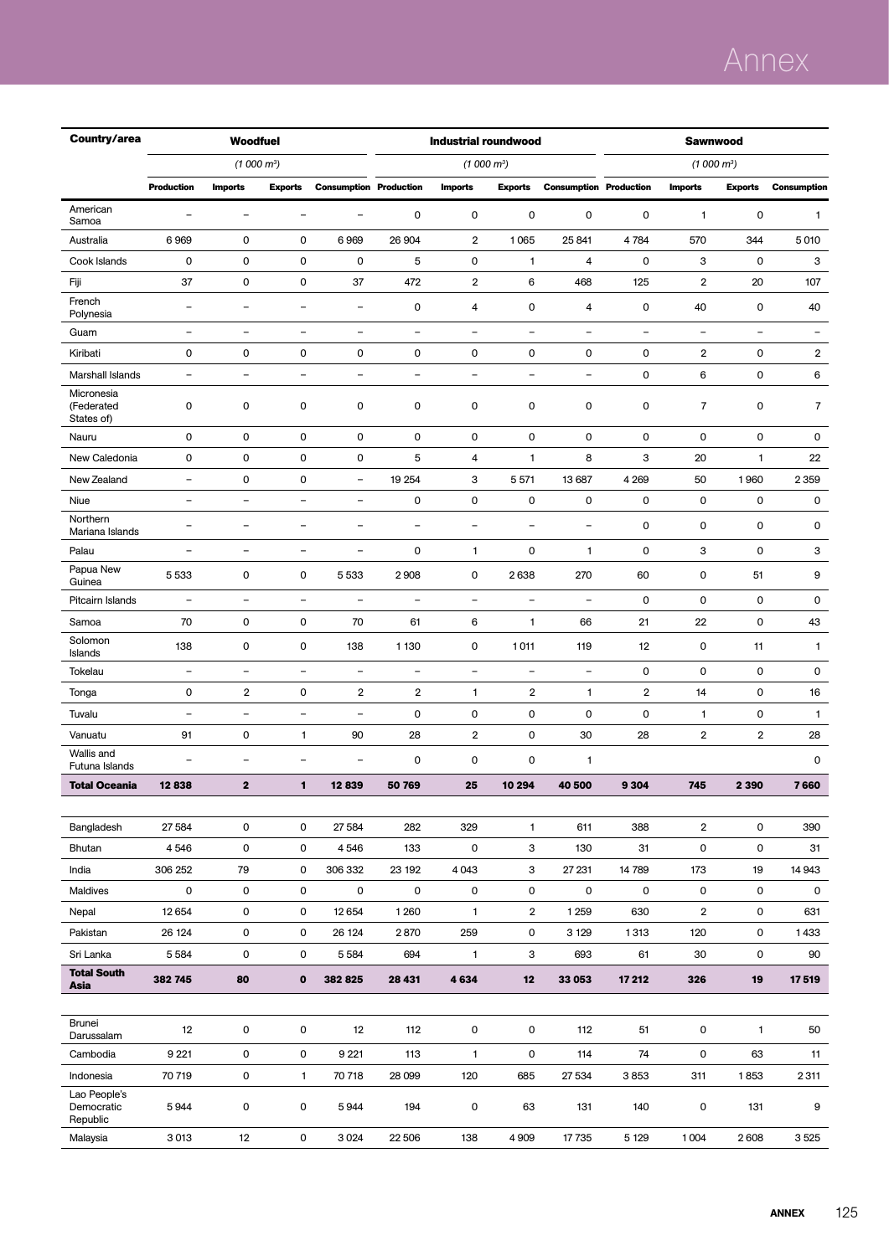## Annex

| Country/area                           |                          | <b>Woodfuel</b>          |                          |                               |                          | <b>Industrial roundwood</b> |                          |                               | Sawnwood                 |                         |                   |                          |  |
|----------------------------------------|--------------------------|--------------------------|--------------------------|-------------------------------|--------------------------|-----------------------------|--------------------------|-------------------------------|--------------------------|-------------------------|-------------------|--------------------------|--|
|                                        |                          | (1000 m <sup>3</sup> )   |                          |                               |                          | (1000 m <sup>3</sup> )      |                          |                               |                          | $(1000 m^3)$            |                   |                          |  |
|                                        | <b>Production</b>        | <b>Imports</b>           | <b>Exports</b>           | <b>Consumption Production</b> |                          | <b>Imports</b>              | <b>Exports</b>           | <b>Consumption Production</b> |                          | <b>Imports</b>          | <b>Exports</b>    | <b>Consumption</b>       |  |
| American<br>Samoa                      | ÷                        | $\overline{\phantom{m}}$ | $\overline{\phantom{0}}$ | $\overline{\phantom{0}}$      | $\mathsf{O}\xspace$      | $\mathsf{O}\xspace$         | 0                        | 0                             | $\mathbf 0$              | 1                       | 0                 | 1                        |  |
| Australia                              | 6969                     | 0                        | 0                        | 6969                          | 26 904                   | $\overline{2}$              | 1065                     | 25 841                        | 4784                     | 570                     | 344               | 5010                     |  |
| Cook Islands                           | 0                        | $\mathbf 0$              | $\mathbf 0$              | 0                             | 5                        | $\mathsf 0$                 | 1                        | 4                             | $\mathbf 0$              | 3                       | 0                 | 3                        |  |
| Fiji                                   | 37                       | 0                        | $\mathbf 0$              | 37                            | 472                      | 2                           | 6                        | 468                           | 125                      | $\overline{2}$          | 20                | 107                      |  |
| French<br>Polynesia                    | $\overline{\phantom{a}}$ | $\equiv$                 | ÷                        | $\overline{\phantom{a}}$      | $\mathsf{O}\xspace$      | 4                           | 0                        | 4                             | $\mathbf 0$              | 40                      | 0                 | 40                       |  |
| Guam                                   | $\overline{\phantom{0}}$ | $\qquad \qquad -$        | $\qquad \qquad -$        | $\overline{a}$                | $\overline{\phantom{a}}$ | $\overline{\phantom{0}}$    | $\overline{\phantom{0}}$ | $\qquad \qquad -$             | $\overline{\phantom{a}}$ | $\qquad \qquad -$       | $\qquad \qquad -$ | $\overline{\phantom{a}}$ |  |
| Kiribati                               | 0                        | 0                        | 0                        | 0                             | $\mathsf 0$              | 0                           | 0                        | 0                             | $\mathbf 0$              | 2                       | 0                 | 2                        |  |
| Marshall Islands                       | $\qquad \qquad -$        | $\overline{\phantom{a}}$ | $\qquad \qquad -$        | $\qquad \qquad -$             | $\overline{\phantom{a}}$ | $\overline{\phantom{a}}$    | $\overline{\phantom{0}}$ | $\qquad \qquad -$             | 0                        | 6                       | 0                 | 6                        |  |
| Micronesia<br>(Federated<br>States of) | 0                        | 0                        | $\mathbf 0$              | 0                             | $\mathsf 0$              | $\mathsf 0$                 | 0                        | 0                             | $\mathbf 0$              | $\overline{7}$          | 0                 | $\overline{7}$           |  |
| Nauru                                  | 0                        | 0                        | $\mathbf 0$              | 0                             | $\mathsf 0$              | 0                           | 0                        | 0                             | $\mathbf 0$              | $\mathbf 0$             | 0                 | 0                        |  |
| New Caledonia                          | 0                        | $\pmb{0}$                | $\mathbf 0$              | 0                             | 5                        | $\overline{4}$              | 1                        | 8                             | 3                        | 20                      | $\mathbf{1}$      | 22                       |  |
| New Zealand                            | $\overline{\phantom{0}}$ | 0                        | 0                        | $\overline{\phantom{a}}$      | 19 254                   | 3                           | 5571                     | 13 687                        | 4 2 6 9                  | 50                      | 1960              | 2359                     |  |
| Niue                                   | -                        | $\qquad \qquad -$        | $\overline{a}$           | $\qquad \qquad -$             | 0                        | 0                           | 0                        | 0                             | 0                        | $\mathbf 0$             | 0                 | 0                        |  |
| Northern<br>Mariana Islands            | $\overline{\phantom{0}}$ | $\overline{\phantom{a}}$ | $\qquad \qquad -$        | $\qquad \qquad -$             | $\overline{\phantom{a}}$ | $\qquad \qquad -$           | $\overline{\phantom{0}}$ | $\qquad \qquad -$             | $\mathbf 0$              | 0                       | 0                 | 0                        |  |
| Palau                                  | $\overline{\phantom{0}}$ | $\overline{\phantom{0}}$ | $\qquad \qquad -$        | $\qquad \qquad -$             | $\mathsf 0$              | 1                           | 0                        | $\mathbf{1}$                  | $\mathbf 0$              | 3                       | 0                 | 3                        |  |
| Papua New<br>Guinea                    | 5 5 3 3                  | 0                        | 0                        | 5533                          | 2908                     | 0                           | 2638                     | 270                           | 60                       | 0                       | 51                | 9                        |  |
| Pitcairn Islands                       | $\overline{\phantom{0}}$ | $\overline{\phantom{a}}$ | $\qquad \qquad -$        | $\qquad \qquad -$             | $\overline{\phantom{a}}$ | $\blacksquare$              | $\qquad \qquad -$        | $\qquad \qquad -$             | $\mathbf 0$              | 0                       | 0                 | 0                        |  |
| Samoa                                  | 70                       | 0                        | $\mathbf 0$              | 70                            | 61                       | 6                           | 1                        | 66                            | 21                       | 22                      | 0                 | 43                       |  |
| Solomon<br>Islands                     | 138                      | 0                        | 0                        | 138                           | 1 1 3 0                  | 0                           | 1011                     | 119                           | 12                       | 0                       | 11                | $\mathbf{1}$             |  |
| Tokelau                                | $\overline{\phantom{0}}$ | $\overline{\phantom{a}}$ | $\overline{\phantom{0}}$ | $\overline{a}$                | $\blacksquare$           | $\blacksquare$              | $\overline{\phantom{0}}$ | $\overline{\phantom{0}}$      | 0                        | 0                       | 0                 | 0                        |  |
| Tonga                                  | 0                        | $\boldsymbol{2}$         | 0                        | $\overline{\mathbf{2}}$       | $\overline{\mathbf{2}}$  | 1                           | 2                        | $\mathbf{1}$                  | 2                        | 14                      | 0                 | 16                       |  |
| Tuvalu                                 | $\overline{\phantom{0}}$ | $\qquad \qquad -$        | $\overline{\phantom{a}}$ | $\overline{\phantom{a}}$      | $\mathsf 0$              | 0                           | 0                        | 0                             | $\mathbf 0$              | 1                       | 0                 | $\mathbf{1}$             |  |
| Vanuatu                                | 91                       | 0                        | 1                        | 90                            | 28                       | 2                           | 0                        | 30                            | 28                       | $\overline{\mathbf{2}}$ | 2                 | 28                       |  |
| Wallis and<br>Futuna Islands           | $\overline{\phantom{0}}$ | $\overline{\phantom{a}}$ | $\qquad \qquad -$        | $\qquad \qquad -$             | $\mathsf 0$              | $\mathsf{O}\xspace$         | 0                        | $\mathbf{1}$                  |                          |                         |                   | 0                        |  |
| <b>Total Oceania</b>                   | 12838                    | $\mathbf{2}$             | 1                        | 12839                         | 50 769                   | 25                          | 10 294                   | 40 500                        | 9 3 0 4                  | 745                     | 2 3 9 0           | 7660                     |  |
|                                        |                          |                          |                          |                               |                          |                             |                          |                               |                          |                         |                   |                          |  |
| Bangladesh                             | 27 5 84                  | 0<br>$\mathsf{O}\xspace$ | 0                        | 27 5 84                       | 282                      | 329<br>$\mathsf{O}\xspace$  | 1                        | 611                           | 388                      | $\overline{\mathbf{2}}$ | 0                 | 390                      |  |
| Bhutan                                 | 4546                     |                          | 0                        | 4546                          | 133                      |                             | з                        | 130                           | 31                       | 0                       | 0                 | 31                       |  |
| India                                  | 306 252<br>0             | 79                       | 0                        | 306 332<br>0                  | 23 192<br>0              | 4 0 4 3                     | 3                        | 27 231<br>0                   | 14 789<br>0              | 173                     | 19                | 14 943<br>0              |  |
| Maldives                               | 12 654                   | 0<br>0                   | 0<br>0                   |                               |                          | 0<br>1                      | 0<br>$\overline{2}$      |                               | 630                      | 0<br>$\overline{2}$     | 0<br>0            |                          |  |
| Nepal<br>Pakistan                      | 26 124                   | 0                        | $\mathsf{O}\xspace$      | 12 654<br>26 124              | 1260<br>2870             | 259                         | 0                        | 1 2 5 9<br>3 1 2 9            | 1313                     | 120                     | 0                 | 631<br>1433              |  |
| Sri Lanka                              | 5584                     | 0                        | 0                        | 5584                          | 694                      | $\mathbf{1}$                | з                        | 693                           | 61                       | 30                      | 0                 | 90                       |  |
| <b>Total South</b>                     |                          |                          |                          |                               |                          |                             |                          |                               |                          |                         |                   |                          |  |
| Asia                                   | 382 745                  | 80                       | $\mathbf{o}$             | 382 825                       | 28 431                   | 4634                        | 12                       | 33 053                        | 17 212                   | 326                     | 19                | 17519                    |  |
| <b>Brunei</b>                          |                          |                          |                          |                               |                          |                             |                          |                               |                          |                         |                   |                          |  |
| Darussalam                             | 12                       | 0                        | 0                        | 12                            | 112                      | 0                           | 0                        | 112                           | 51                       | 0                       | $\mathbf{1}$      | 50                       |  |
| Cambodia                               | 9 2 2 1                  | 0                        | 0                        | 9 2 21                        | 113                      | $\mathbf{1}$                | 0                        | 114                           | 74                       | 0                       | 63                | 11                       |  |
| Indonesia                              | 70 719                   | 0                        | $\mathbf{1}$             | 70 718                        | 28 099                   | 120                         | 685                      | 27 534                        | 3853                     | 311                     | 1853              | 2311                     |  |
| Lao People's<br>Democratic<br>Republic | 5944                     | 0                        | $\mathsf 0$              | 5944                          | 194                      | 0                           | 63                       | 131                           | 140                      | $\pmb{0}$               | 131               | 9                        |  |
| Malaysia                               | 3013                     | 12                       | $\mathsf{O}\xspace$      | 3024                          | 22 506                   | 138                         | 4 9 0 9                  | 17735                         | 5 1 2 9                  | 1004                    | 2608              | 3525                     |  |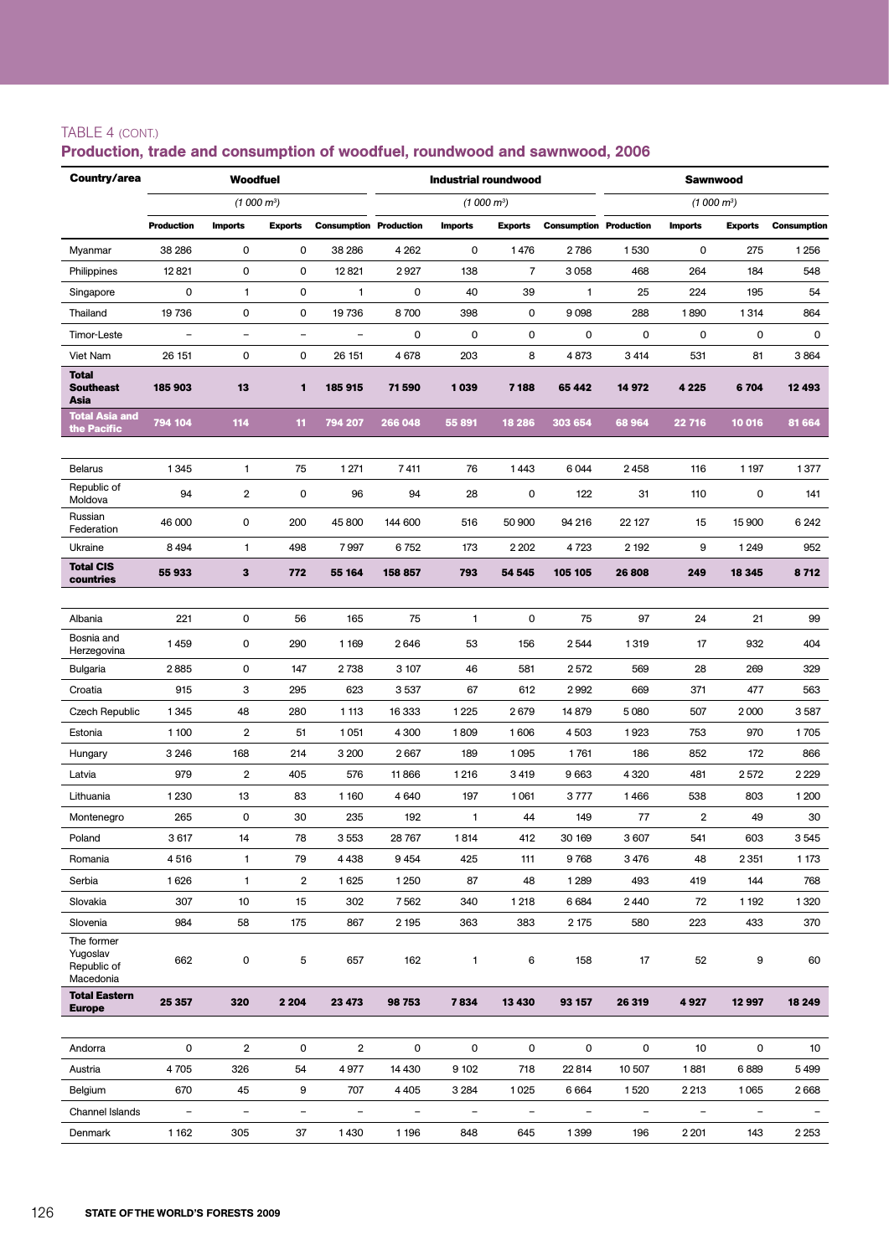### TABLE 4 (cont.)

| Country/area                                       |                          | <b>Woodfuel</b>         |                |                               |                | <b>Industrial roundwood</b> |                        |                               | <b>Sawnwood</b>          |                          |                |                    |  |
|----------------------------------------------------|--------------------------|-------------------------|----------------|-------------------------------|----------------|-----------------------------|------------------------|-------------------------------|--------------------------|--------------------------|----------------|--------------------|--|
|                                                    |                          | (1000 m <sup>3</sup> )  |                |                               |                |                             | (1000 m <sup>3</sup> ) |                               |                          | (1000 m <sup>3</sup> )   |                |                    |  |
|                                                    | <b>Production</b>        | <b>Imports</b>          | <b>Exports</b> | <b>Consumption Production</b> |                | <b>Imports</b>              | <b>Exports</b>         | <b>Consumption Production</b> |                          | <b>Imports</b>           | <b>Exports</b> | <b>Consumption</b> |  |
| Myanmar                                            | 38 286                   | 0                       | 0              | 38 286                        | 4 2 6 2        | 0                           | 1476                   | 2786                          | 1530                     | 0                        | 275            | 1256               |  |
| Philippines                                        | 12821                    | 0                       | 0              | 12821                         | 2927           | 138                         | $\overline{7}$         | 3058                          | 468                      | 264                      | 184            | 548                |  |
| Singapore                                          | $\mathbf 0$              | 1                       | 0              | $\mathbf{1}$                  | 0              | 40                          | 39                     | $\mathbf{1}$                  | 25                       | 224                      | 195            | 54                 |  |
| Thailand                                           | 19736                    | 0                       | 0              | 19736                         | 8700           | 398                         | 0                      | 9098                          | 288                      | 1890                     | 1314           | 864                |  |
| Timor-Leste                                        | $\overline{\phantom{a}}$ | $\overline{a}$          | $\equiv$       | $\blacksquare$                | 0              | 0                           | 0                      | 0                             | 0                        | 0                        | 0              | 0                  |  |
| Viet Nam                                           | 26 151                   | 0                       | 0              | 26 151                        | 4678           | 203                         | 8                      | 4873                          | 3414                     | 531                      | 81             | 3864               |  |
| <b>Total</b><br><b>Southeast</b><br>Asia           | 185 903                  | 13                      | 1              | 185 915                       | 71590          | 1039                        | 7 188                  | 65 442                        | 14 972                   | 4 2 2 5                  | 6704           | 12 493             |  |
| <b>Total Asia and</b><br>the Pacific               | 794 104                  | 114                     | 11             | 794 207                       | 266 048        | 55 891                      | 18 28 6                | 303 654                       | 68964                    | 22 716                   | 10 016         | 81 664             |  |
|                                                    |                          |                         |                |                               |                |                             |                        |                               |                          |                          |                |                    |  |
| <b>Belarus</b>                                     | 1345                     | $\mathbf{1}$            | 75             | 1 2 7 1                       | 7411           | 76                          | 1443                   | 6044                          | 2458                     | 116                      | 1 1 9 7        | 1377               |  |
| Republic of<br>Moldova                             | 94                       | $\overline{2}$          | 0              | 96                            | 94             | 28                          | 0                      | 122                           | 31                       | 110                      | 0              | 141                |  |
| Russian<br>Federation                              | 46 000                   | 0                       | 200            | 45 800                        | 144 600        | 516                         | 50 900                 | 94 216                        | 22 127                   | 15                       | 15 900         | 6 2 4 2            |  |
| Ukraine                                            | 8494                     | $\mathbf{1}$            | 498            | 7997                          | 6752           | 173                         | 2 2 0 2                | 4723                          | 2 1 9 2                  | 9                        | 1 2 4 9        | 952                |  |
| <b>Total CIS</b><br>countries                      | 55933                    | 3                       | 772            | 55 164                        | 158 857        | 793                         | 54 545                 | 105 105                       | 26808                    | 249                      | 18 345         | 8712               |  |
|                                                    |                          |                         |                |                               |                |                             |                        |                               |                          |                          |                |                    |  |
| Albania                                            | 221                      | 0                       | 56             | 165                           | 75             | 1                           | 0                      | 75                            | 97                       | 24                       | 21             | 99                 |  |
| Bosnia and<br>Herzegovina                          | 1459                     | 0                       | 290            | 1 1 6 9                       | 2646           | 53                          | 156                    | 2544                          | 1319                     | 17                       | 932            | 404                |  |
| Bulgaria                                           | 2885                     | 0                       | 147            | 2738                          | 3 107          | 46                          | 581                    | 2572                          | 569                      | 28                       | 269            | 329                |  |
| Croatia                                            | 915                      | 3                       | 295            | 623                           | 3537           | 67                          | 612                    | 2992                          | 669                      | 371                      | 477            | 563                |  |
| Czech Republic                                     | 1345                     | 48                      | 280            | 1 1 1 3                       | 16 333         | 1225                        | 2679                   | 14 879                        | 5080                     | 507                      | 2000           | 3587               |  |
| Estonia                                            | 1 100                    | $\overline{\mathbf{c}}$ | 51             | 1051                          | 4 300          | 1809                        | 1606                   | 4503                          | 1923                     | 753                      | 970            | 1705               |  |
| Hungary                                            | 3 2 4 6                  | 168                     | 214            | 3 200                         | 2667           | 189                         | 1095                   | 1761                          | 186                      | 852                      | 172            | 866                |  |
| Latvia                                             | 979                      | $\overline{\mathbf{c}}$ | 405            | 576                           | 11866          | 1216                        | 3419                   | 9663                          | 4 3 2 0                  | 481                      | 2572           | 2 2 2 9            |  |
| Lithuania                                          | 1 2 3 0                  | 13                      | 83             | 1 1 6 0                       | 4640           | 197                         | 1061                   | 3777                          | 1466                     | 538                      | 803            | 1 200              |  |
| Montenegro                                         | 265                      | 0                       | 30             | 235                           | 192            | 1                           | 44                     | 149                           | 77                       | 2                        | 49             | 30                 |  |
| Poland                                             | 3617                     | 14                      | 78             | 3553                          | 28 767         | 1814                        | 412                    | 30 169                        | 3 607                    | 541                      | 603            | 3545               |  |
| Romania                                            | 4516                     | $\mathbf{1}$            | 79             | 4438                          | 9454           | 425                         | 111                    | 9768                          | 3 4 7 6                  | 48                       | 2 3 5 1        | 1 1 7 3            |  |
| Serbia                                             | 1626                     | $\mathbf{1}$            | 2              | 1625                          | 1 2 5 0        | 87                          | 48                     | 1 2 8 9                       | 493                      | 419                      | 144            | 768                |  |
| Slovakia                                           | 307                      | 10                      | 15             | 302                           | 7562           | 340                         | 1218                   | 6684                          | 2440                     | 72                       | 1 1 9 2        | 1320               |  |
| Slovenia                                           | 984                      | 58                      | 175            | 867                           | 2 1 9 5        | 363                         | 383                    | 2 175                         | 580                      | 223                      | 433            | 370                |  |
| The former<br>Yugoslav<br>Republic of<br>Macedonia | 662                      | 0                       | 5              | 657                           | 162            | $\mathbf{1}$                | 6                      | 158                           | 17                       | 52                       | 9              | 60                 |  |
| <b>Total Eastern</b><br><b>Europe</b>              | 25 357                   | 320                     | 2 2 0 4        | 23 473                        | 98 753         | 7834                        | 13 4 30                | 93 157                        | 26 319                   | 4927                     | 12 997         | 18 249             |  |
|                                                    |                          |                         |                |                               |                |                             |                        |                               |                          |                          |                |                    |  |
| Andorra                                            | $\mathsf 0$              | $\overline{2}$          | 0              | $\overline{2}$                | 0              | 0                           | 0                      | 0                             | 0                        | 10                       | 0              | 10                 |  |
| Austria                                            | 4705                     | 326                     | 54             | 4977                          | 14 4 30        | 9 1 0 2                     | 718                    | 22814                         | 10 507                   | 1881                     | 6889           | 5499               |  |
| Belgium                                            | 670                      | 45                      | 9              | 707                           | 4 4 0 5        | 3 2 8 4                     | 1025                   | 6664                          | 1520                     | 2 2 1 3                  | 1065           | 2668               |  |
| Channel Islands                                    | $\overline{\phantom{0}}$ | -                       | $\equiv$       | $\blacksquare$                | $\overline{a}$ | $\overline{a}$              |                        | $\overline{\phantom{0}}$      | $\overline{\phantom{0}}$ | $\overline{\phantom{0}}$ | ÷              |                    |  |
| Denmark                                            | 1162                     | 305                     | 37             | 1430                          | 1 1 9 6        | 848                         | 645                    | 1399                          | 196                      | 2 2 0 1                  | 143            | 2 2 5 3            |  |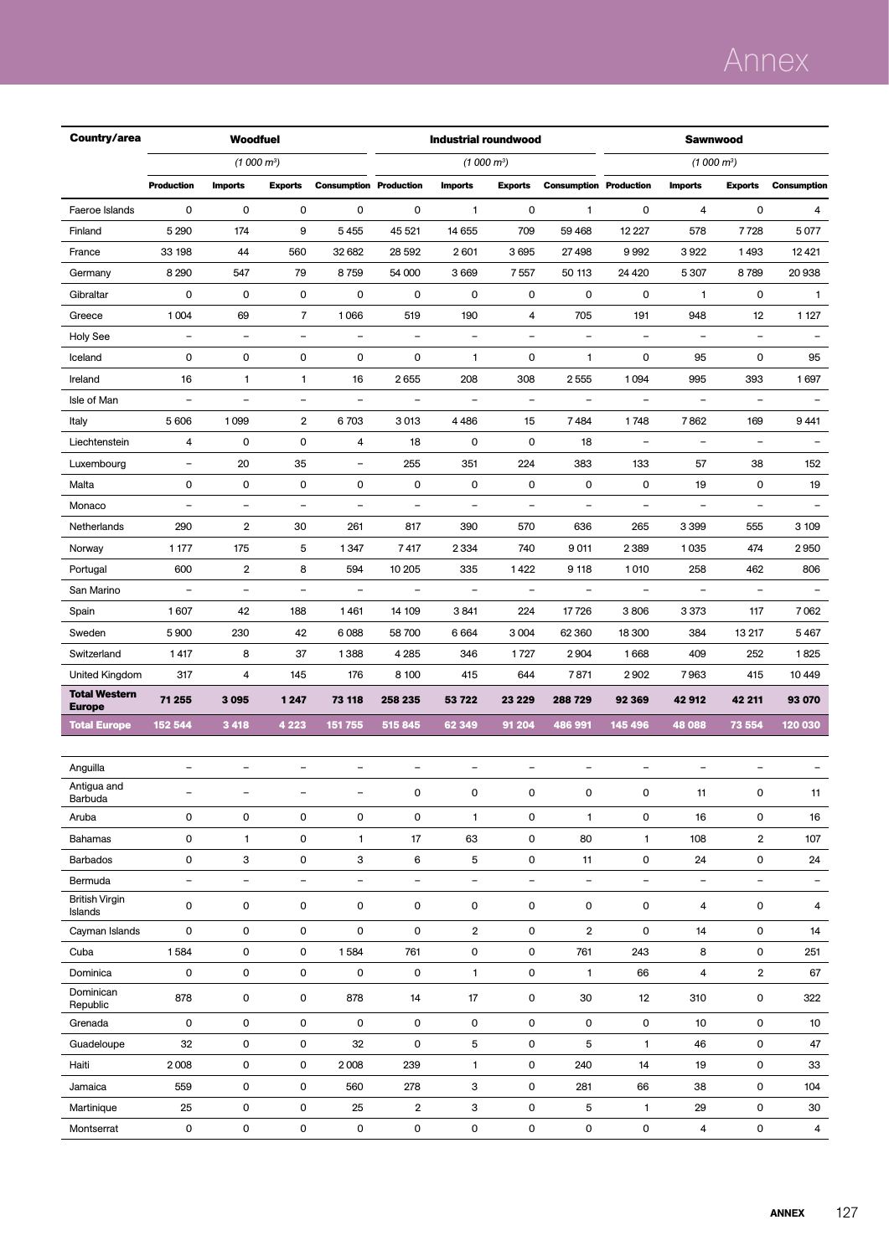# Annex

| Country/area                          |                          |                          | <b>Woodfuel</b>          |                               |                          | <b>Industrial roundwood</b> |                          |                               | <b>Sawnwood</b>          |                          |                          |                          |  |
|---------------------------------------|--------------------------|--------------------------|--------------------------|-------------------------------|--------------------------|-----------------------------|--------------------------|-------------------------------|--------------------------|--------------------------|--------------------------|--------------------------|--|
|                                       |                          |                          | (1000 m <sup>3</sup> )   |                               |                          | (1000 m <sup>3</sup> )      |                          |                               |                          | (1000 m <sup>3</sup> )   |                          |                          |  |
|                                       | <b>Production</b>        | <b>Imports</b>           | <b>Exports</b>           | <b>Consumption Production</b> |                          | <b>Imports</b>              | <b>Exports</b>           | <b>Consumption Production</b> |                          | <b>Imports</b>           | <b>Exports</b>           | <b>Consumption</b>       |  |
| Faeroe Islands                        | $\mathbf 0$              | 0                        | $\mathbf 0$              | 0                             | $\mathbf 0$              | $\mathbf{1}$                | $\mathbf 0$              | $\mathbf{1}$                  | 0                        | 4                        | 0                        | 4                        |  |
| Finland                               | 5 2 9 0                  | 174                      | 9                        | 5455                          | 45 521                   | 14 655                      | 709                      | 59 4 68                       | 12 2 2 7                 | 578                      | 7728                     | 5077                     |  |
| France                                | 33 198                   | 44                       | 560                      | 32 682                        | 28 5 92                  | 2601                        | 3695                     | 27498                         | 9992                     | 3922                     | 1493                     | 12421                    |  |
| Germany                               | 8 2 9 0                  | 547                      | 79                       | 8759                          | 54 000                   | 3669                        | 7557                     | 50 113                        | 24 4 20                  | 5 3 0 7                  | 8789                     | 20 938                   |  |
| Gibraltar                             | $\mathbf 0$              | $\mathbf 0$              | $\mathbf 0$              | 0                             | 0                        | 0                           | 0                        | 0                             | 0                        | $\mathbf{1}$             | $\mathbf 0$              | $\mathbf{1}$             |  |
| Greece                                | 1004                     | 69                       | $\overline{7}$           | 1066                          | 519                      | 190                         | 4                        | 705                           | 191                      | 948                      | 12                       | 1 1 2 7                  |  |
| <b>Holy See</b>                       | $\overline{\phantom{a}}$ | $\overline{\phantom{a}}$ | $\overline{\phantom{0}}$ | $\frac{1}{2}$                 | $\overline{\phantom{a}}$ | $\overline{\phantom{m}}$    | $\blacksquare$           | $\equiv$                      | $\overline{\phantom{a}}$ | $\overline{\phantom{0}}$ | $\overline{\phantom{a}}$ |                          |  |
| Iceland                               | 0                        | 0                        | $\pmb{0}$                | 0                             | 0                        | 1                           | 0                        | $\mathbf{1}$                  | 0                        | 95                       | 0                        | 95                       |  |
| Ireland                               | 16                       | $\mathbf{1}$             | $\mathbf{1}$             | 16                            | 2655                     | 208                         | 308                      | 2555                          | 1094                     | 995                      | 393                      | 1697                     |  |
| Isle of Man                           | $\equiv$                 | $\overline{a}$           | $\equiv$                 | $\overline{\phantom{0}}$      | $\equiv$                 | $\overline{a}$              | $\equiv$                 | $\equiv$                      | $\equiv$                 | $\overline{\phantom{0}}$ | $\equiv$                 | $\equiv$                 |  |
| Italy                                 | 5 606                    | 1099                     | $\overline{2}$           | 6703                          | 3013                     | 4486                        | 15                       | 7484                          | 1748                     | 7862                     | 169                      | 9441                     |  |
| Liechtenstein                         | 4                        | 0                        | $\mathbf 0$              | 4                             | 18                       | 0                           | $\mathbf 0$              | 18                            | $\overline{\phantom{a}}$ | $\qquad \qquad -$        | $\overline{\phantom{a}}$ |                          |  |
| Luxembourg                            | $\qquad \qquad -$        | 20                       | 35                       | $\qquad \qquad -$             | 255                      | 351                         | 224                      | 383                           | 133                      | 57                       | 38                       | 152                      |  |
| Malta                                 | $\mathsf 0$              | $\pmb{0}$                | $\mathsf 0$              | 0                             | 0                        | 0                           | 0                        | 0                             | 0                        | 19                       | 0                        | 19                       |  |
| Monaco                                | $\overline{\phantom{0}}$ | $\overline{\phantom{a}}$ | $\overline{\phantom{a}}$ | $\overline{\phantom{a}}$      | $\overline{\phantom{a}}$ | $\overline{\phantom{a}}$    | $\qquad \qquad -$        | $\overline{\phantom{a}}$      | $\overline{\phantom{a}}$ | $\qquad \qquad -$        | $\overline{\phantom{a}}$ | $\equiv$                 |  |
| Netherlands                           | 290                      | $\overline{2}$           | 30                       | 261                           | 817                      | 390                         | 570                      | 636                           | 265                      | 3 3 9 9                  | 555                      | 3 109                    |  |
| Norway                                | 1 1 7 7                  | 175                      | 5                        | 1347                          | 7417                     | 2 3 3 4                     | 740                      | 9011                          | 2389                     | 1035                     | 474                      | 2950                     |  |
| Portugal                              | 600                      | $\overline{2}$           | 8                        | 594                           | 10 205                   | 335                         | 1422                     | 9 118                         | 1010                     | 258                      | 462                      | 806                      |  |
| San Marino                            | $\overline{\phantom{0}}$ | $\overline{\phantom{0}}$ | $\overline{\phantom{0}}$ | $\qquad \qquad -$             | $\overline{\phantom{a}}$ | $\overline{\phantom{a}}$    | $\overline{\phantom{0}}$ | $\blacksquare$                | $\overline{\phantom{0}}$ | $\qquad \qquad -$        | $\overline{\phantom{0}}$ |                          |  |
| Spain                                 | 1607                     | 42                       | 188                      | 1461                          | 14 109                   | 3841                        | 224                      | 17726                         | 3806                     | 3373                     | 117                      | 7062                     |  |
| Sweden                                | 5 9 0 0                  | 230                      | 42                       | 6088                          | 58 700                   | 6664                        | 3 0 0 4                  | 62 3 60                       | 18 300                   | 384                      | 13 217                   | 5467                     |  |
| Switzerland                           | 1417                     | 8                        | 37                       | 1388                          | 4 2 8 5                  | 346                         | 1727                     | 2904                          | 1668                     | 409                      | 252                      | 1825                     |  |
| United Kingdom                        | 317                      | 4                        | 145                      | 176                           | 8 100                    | 415                         | 644                      | 7871                          | 2902                     | 7963                     | 415                      | 10 4 49                  |  |
| <b>Total Western</b><br><b>Europe</b> | 71 255                   | 3 0 9 5                  | 1 2 4 7                  | 73 118                        | 258 235                  | 53 722                      | 23 229                   | 288 729                       | 92 369                   | 42912                    | 42 211                   | 93 070                   |  |
| <b>Total Europe</b>                   | 152 544                  | 3 4 1 8                  | 4 2 2 3                  | 151 755                       | 515 845                  | 62 349                      | 91 204                   | 486 991                       | 145 496                  | 48 088                   | 73 554                   | 120 030                  |  |
|                                       |                          |                          |                          |                               |                          |                             |                          |                               |                          |                          |                          |                          |  |
| Anguilla                              | $\overline{\phantom{0}}$ | $\overline{\phantom{0}}$ | $\overline{\phantom{a}}$ | $\overline{\phantom{0}}$      | $\overline{\phantom{a}}$ | ÷                           | $\overline{\phantom{0}}$ | $\blacksquare$                | $\overline{\phantom{a}}$ | ÷                        | $\overline{\phantom{0}}$ |                          |  |
| Antigua and<br>Barbuda                |                          | -                        | -                        | -                             | $\Omega$                 | 0                           | 0                        | 0                             | $\Omega$                 | 11                       | 0                        | 11                       |  |
| Aruba                                 | 0                        | 0                        | 0                        | 0                             | 0                        | 1                           | 0                        | 1                             | 0                        | 16                       | 0                        | 16                       |  |
| <b>Bahamas</b>                        | 0                        | 1                        | $\mathsf 0$              | $\mathbf{1}$                  | 17                       | 63                          | 0                        | 80                            | 1                        | 108                      | $\overline{2}$           | 107                      |  |
| <b>Barbados</b>                       | 0                        | 3                        | $\pmb{0}$                | 3                             | 6                        | 5                           | 0                        | 11                            | 0                        | 24                       | 0                        | 24                       |  |
| Bermuda                               | $\overline{\phantom{a}}$ | $\overline{\phantom{a}}$ | $\qquad \qquad -$        | $\overline{\phantom{0}}$      | $\overline{\phantom{a}}$ | $\overline{\phantom{a}}$    | $\overline{\phantom{0}}$ | $\overline{\phantom{a}}$      | $\overline{\phantom{0}}$ | $\overline{\phantom{a}}$ | $\overline{\phantom{a}}$ | $\overline{\phantom{a}}$ |  |
| <b>British Virgin</b><br>Islands      | 0                        | 0                        | 0                        | 0                             | 0                        | 0                           | 0                        | 0                             | 0                        | 4                        | 0                        | 4                        |  |
| Cayman Islands                        | 0                        | 0                        | $\mathsf 0$              | 0                             | 0                        | $\overline{2}$              | 0                        | $\overline{2}$                | 0                        | 14                       | 0                        | 14                       |  |
| Cuba                                  | 1584                     | 0                        | 0                        | 1584                          | 761                      | 0                           | 0                        | 761                           | 243                      | 8                        | 0                        | 251                      |  |
| Dominica                              | 0                        | 0                        | 0                        | 0                             | 0                        | 1                           | 0                        | $\mathbf{1}$                  | 66                       | 4                        | $\overline{2}$           | 67                       |  |
| Dominican<br>Republic                 | 878                      | 0                        | 0                        | 878                           | 14                       | 17                          | 0                        | 30                            | 12                       | 310                      | 0                        | 322                      |  |
| Grenada                               | 0                        | 0                        | 0                        | 0                             | 0                        | 0                           | 0                        | 0                             | 0                        | 10                       | 0                        | 10                       |  |
| Guadeloupe                            | 32                       | 0                        | 0                        | 32                            | $\mathsf 0$              | 5                           | 0                        | 5                             | 1                        | 46                       | $\mathsf 0$              | 47                       |  |
| Haiti                                 | 2008                     | 0                        | 0                        | 2008                          | 239                      | 1                           | 0                        | 240                           | 14                       | 19                       | 0                        | 33                       |  |
| Jamaica                               | 559                      | 0                        | $\mathsf 0$              | 560                           | 278                      | 3                           | 0                        | 281                           | 66                       | 38                       | $\mathsf 0$              | 104                      |  |
| Martinique                            | 25                       | 0                        | $\mathbf 0$              | 25                            | $\overline{2}$           | 3                           | 0                        | 5                             | 1                        | 29                       | 0                        | 30                       |  |
| Montserrat                            | 0                        | 0                        | $\mathsf 0$              | 0                             | 0                        | $\mathsf{O}\xspace$         | 0                        | $\mathsf 0$                   | 0                        | 4                        | $\pmb{0}$                | 4                        |  |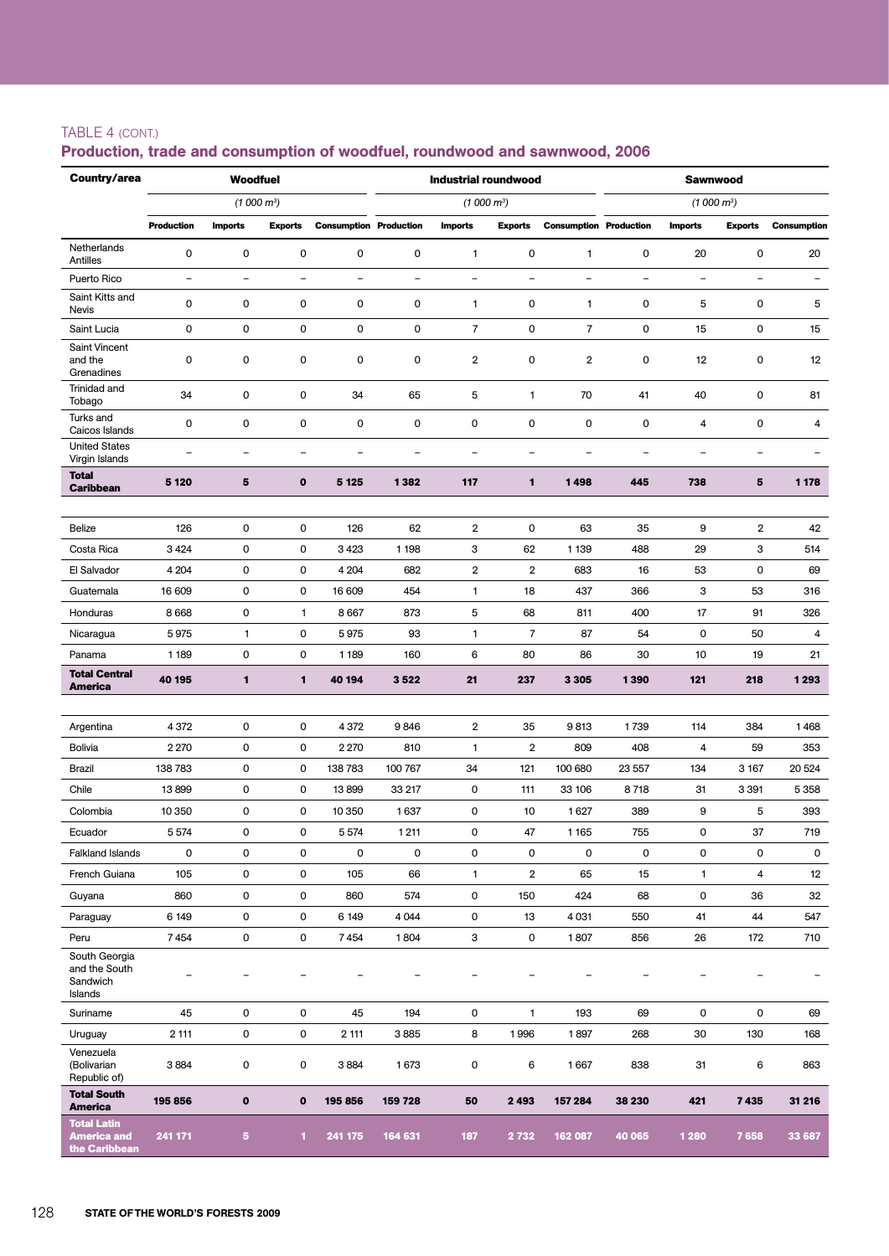### TABLE 4 (cont.)

| Country/area                                              |                          | <b>Woodfuel</b>          |                          |                               |                     | <b>Industrial roundwood</b> |                          |                               | <b>Sawnwood</b> |                          |                          |                          |  |
|-----------------------------------------------------------|--------------------------|--------------------------|--------------------------|-------------------------------|---------------------|-----------------------------|--------------------------|-------------------------------|-----------------|--------------------------|--------------------------|--------------------------|--|
|                                                           |                          | (1000 m <sup>3</sup> )   |                          |                               |                     | (1000 m <sup>3</sup> )      |                          |                               |                 | (1000 m <sup>3</sup> )   |                          |                          |  |
|                                                           | <b>Production</b>        | <b>Imports</b>           | <b>Exports</b>           | <b>Consumption Production</b> |                     | <b>Imports</b>              | <b>Exports</b>           | <b>Consumption Production</b> |                 | <b>Imports</b>           | <b>Exports</b>           | <b>Consumption</b>       |  |
| Netherlands<br>Antilles                                   | 0                        | 0                        | 0                        | 0                             | 0                   | 1                           | 0                        | 1                             | 0               | 20                       | $\mathbf 0$              | 20                       |  |
| Puerto Rico                                               | $\overline{\phantom{a}}$ | $\overline{\phantom{0}}$ | $\overline{\phantom{0}}$ | $\blacksquare$                | $\blacksquare$      | $\overline{\phantom{0}}$    | ÷                        | $\blacksquare$                | $\equiv$        | $\equiv$                 | $\overline{\phantom{0}}$ | $\overline{\phantom{0}}$ |  |
| Saint Kitts and<br>Nevis                                  | 0                        | 0                        | 0                        | 0                             | $\mathsf{O}\xspace$ | 1                           | 0                        | 1                             | 0               | 5                        | 0                        | 5                        |  |
| Saint Lucia                                               | $\mathsf 0$              | 0                        | 0                        | $\mathsf{O}\xspace$           | $\mathsf 0$         | $\overline{7}$              | 0                        | $\overline{7}$                | 0               | 15                       | 0                        | 15                       |  |
| Saint Vincent<br>and the<br>Grenadines                    | $\mathbf 0$              | 0                        | 0                        | 0                             | $\mathbf 0$         | $\overline{2}$              | 0                        | 2                             | 0               | 12                       | 0                        | 12                       |  |
| Trinidad and<br>Tobago                                    | 34                       | 0                        | 0                        | 34                            | 65                  | 5                           | 1                        | 70                            | 41              | 40                       | 0                        | 81                       |  |
| Turks and<br>Caicos Islands                               | 0                        | 0                        | 0                        | 0                             | 0                   | $\mathsf{O}\xspace$         | 0                        | 0                             | 0               | 4                        | 0                        | 4                        |  |
| <b>United States</b><br>Virgin Islands                    | $\overline{\phantom{0}}$ | $\overline{\phantom{0}}$ | ÷                        | $\overline{\phantom{a}}$      | $\equiv$            | $\rightarrow$               | $\overline{\phantom{0}}$ | $\overline{\phantom{0}}$      | ÷,              | $\overline{\phantom{0}}$ | $\overline{\phantom{0}}$ | $\overline{\phantom{0}}$ |  |
| <b>Total</b><br><b>Caribbean</b>                          | 5 1 20                   | 5                        | $\mathbf 0$              | 5 1 2 5                       | 1382                | 117                         | 1                        | 1498                          | 445             | 738                      | 5                        | 1 1 7 8                  |  |
| Belize                                                    | 126                      | 0                        | 0                        | 126                           | 62                  | $\overline{\mathbf{2}}$     | 0                        | 63                            | 35              | 9                        | $\overline{2}$           | 42                       |  |
| Costa Rica                                                | 3424                     | 0                        | 0                        | 3423                          | 1 1 9 8             | 3                           | 62                       | 1 1 3 9                       | 488             | 29                       | 3                        | 514                      |  |
| El Salvador                                               | 4 2 0 4                  | 0                        | 0                        | 4 204                         | 682                 | $\overline{2}$              | $\overline{2}$           | 683                           | 16              | 53                       | 0                        | 69                       |  |
| Guatemala                                                 | 16 609                   | 0                        | 0                        | 16 609                        | 454                 | 1                           | 18                       | 437                           | 366             | 3                        | 53                       | 316                      |  |
| Honduras                                                  | 8668                     | 0                        | $\mathbf{1}$             | 8 6 6 7                       | 873                 | 5                           | 68                       | 811                           | 400             | 17                       | 91                       | 326                      |  |
| Nicaragua                                                 | 5975                     | $\mathbf{1}$             | 0                        | 5975                          | 93                  | 1                           | $\overline{7}$           | 87                            | 54              | $\mathbf 0$              | 50                       | 4                        |  |
| Panama                                                    | 1 1 8 9                  | 0                        | 0                        | 1 1 8 9                       | 160                 | 6                           | 80                       | 86                            | 30              | 10                       | 19                       | 21                       |  |
| <b>Total Central</b>                                      | 40 195                   | 1                        | 1                        | 40 194                        | 3522                | 21                          | 237                      | 3 3 0 5                       | 1390            | 121                      | 218                      | 1293                     |  |
| <b>America</b>                                            |                          |                          |                          |                               |                     |                             |                          |                               |                 |                          |                          |                          |  |
| Argentina                                                 | 4 3 7 2                  | 0                        | 0                        | 4 3 7 2                       | 9846                | $\overline{2}$              | 35                       | 9813                          | 1739            | 114                      | 384                      | 1468                     |  |
| <b>Bolivia</b>                                            | 2 2 7 0                  | 0                        | 0                        | 2 2 7 0                       | 810                 | 1                           | 2                        | 809                           | 408             | 4                        | 59                       | 353                      |  |
| Brazil                                                    | 138 783                  | 0                        | 0                        | 138783                        | 100 767             | 34                          | 121                      | 100 680                       | 23 557          | 134                      | 3 1 6 7                  | 20 5 24                  |  |
| Chile                                                     | 13899                    | 0                        | 0                        | 13899                         | 33 217              | 0                           | 111                      | 33 106                        | 8718            | 31                       | 3 3 9 1                  | 5 3 5 8                  |  |
| Colombia                                                  | 10 350                   | 0                        | 0                        | 10 350                        | 1637                | 0                           | 10                       | 1627                          | 389             | 9                        | 5                        | 393                      |  |
| Ecuador                                                   | 5 5 7 4                  | 0                        | 0                        | 5 5 7 4                       | 1211                | 0                           | 47                       | 1165                          | 755             | 0                        | 37                       | 719                      |  |
| <b>Falkland Islands</b>                                   | 0                        | 0                        | 0                        | 0                             | 0                   | 0                           | 0                        | 0                             | 0               | 0                        | 0                        | 0                        |  |
| French Guiana                                             | 105                      | 0                        | 0                        | 105                           | 66                  | $\mathbf{1}$                | $\overline{\mathbf{2}}$  | 65                            | 15              | $\mathbf{1}$             | 4                        | 12                       |  |
| Guyana                                                    | 860                      | 0                        | 0                        | 860                           | 574                 | 0                           | 150                      | 424                           | 68              | 0                        | 36                       | 32                       |  |
| Paraguay                                                  | 6 149                    | 0                        | 0                        | 6 149                         | 4044                | 0                           | 13                       | 4031                          | 550             | 41                       | 44                       | 547                      |  |
| Peru                                                      | 7454                     | 0                        | 0                        | 7454                          | 1804                | 3                           | $\mathsf{O}\xspace$      | 1807                          | 856             | 26                       | 172                      | 710                      |  |
| South Georgia<br>and the South<br>Sandwich<br>Islands     |                          |                          |                          |                               |                     |                             |                          |                               |                 |                          |                          | -                        |  |
| Suriname                                                  | 45                       | 0                        | 0                        | 45                            | 194                 | 0                           | 1                        | 193                           | 69              | $\mathbf 0$              | 0                        | 69                       |  |
| Uruguay                                                   | 2 111                    | 0                        | 0                        | 2 111                         | 3885                | 8                           | 1996                     | 1897                          | 268             | 30                       | 130                      | 168                      |  |
| Venezuela<br>(Bolivarian<br>Republic of)                  | 3884                     | 0                        | 0                        | 3884                          | 1673                | 0                           | 6                        | 1667                          | 838             | 31                       | 6                        | 863                      |  |
| <b>Total South</b><br><b>America</b>                      | 195 856                  | $\pmb{\mathsf{o}}$       | $\mathbf 0$              | 195 856                       | 159 728             | 50                          | 2 4 9 3                  | 157 284                       | 38 230          | 421                      | 7435                     | 31 216                   |  |
| <b>Total Latin</b><br><b>America and</b><br>the Caribbean | 241 171                  | 5                        | 1                        | 241 175                       | 164 631             | 187                         | 2 7 3 2                  | 162 087                       | 40 065          | 1 2 8 0                  | 7658                     | 33 687                   |  |